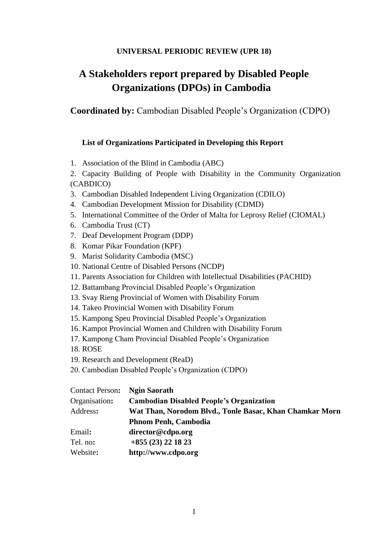#### **UNIVERSAL PERIODIC REVIEW (UPR 18)**

# **A Stakeholders report prepared by Disabled People Organizations (DPOs) in Cambodia**

**Coordinated by:** Cambodian Disabled People's Organization (CDPO)

#### **List of Organizations Participated in Developing this Report**

1. Association of the Blind in Cambodia (ABC)

2. Capacity Building of People with Disability in the Community Organization (CABDICO)

- 3. Cambodian Disabled Independent Living Organization (CDILO)
- 4. Cambodian Development Mission for Disability (CDMD)
- 5. International Committee of the Order of Malta for Leprosy Relief (CIOMAL)
- 6. Cambodia Trust (CT)
- 7. Deaf Development Program (DDP)
- 8. Komar Pikar Foundation (KPF)
- 9. Marist Solidarity Cambodia (MSC)
- 10. National Centre of Disabled Persons (NCDP)
- 11. Parents Association for Children with Intellectual Disabilities (PACHID)
- 12. Battambang Provincial Disabled People's Organization
- 13. Svay Rieng Provincial of Women with Disability Forum
- 14. Takeo Provincial Women with Disability Forum
- 15. Kampong Speu Provincial Disabled People's Organization
- 16. Kampot Provincial Women and Children with Disability Forum
- 17. Kampong Cham Provincial Disabled People's Organization
- 18. ROSE
- 19. Research and Development (ReaD)
- 20. Cambodian Disabled People's Organization (CDPO)

| <b>Contact Person:</b> | <b>Ngin Saorath</b>                                     |
|------------------------|---------------------------------------------------------|
| Organisation:          | <b>Cambodian Disabled People's Organization</b>         |
| Address:               | Wat Than, Norodom Blvd., Tonle Basac, Khan Chamkar Morn |
|                        | <b>Phnom Penh, Cambodia</b>                             |
| Email:                 | director@cdpo.org                                       |
| Tel. no:               | $+855(23)$ 22 18 23                                     |
| Website:               | http://www.cdpo.org                                     |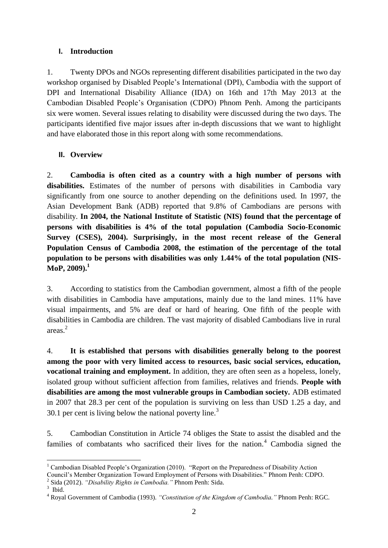#### **I. Introduction**

1. Twenty DPOs and NGOs representing different disabilities participated in the two day workshop organised by Disabled People's International (DPI), Cambodia with the support of DPI and International Disability Alliance (IDA) on 16th and 17th May 2013 at the Cambodian Disabled People's Organisation (CDPO) Phnom Penh. Among the participants six were women. Several issues relating to disability were discussed during the two days. The participants identified five major issues after in-depth discussions that we want to highlight and have elaborated those in this report along with some recommendations.

# **II. Overview**

2. **Cambodia is often cited as a country with a high number of persons with disabilities.** Estimates of the number of persons with disabilities in Cambodia vary significantly from one source to another depending on the definitions used. In 1997, the Asian Development Bank (ADB) reported that 9.8% of Cambodians are persons with disability. **In 2004, the National Institute of Statistic (NIS) found that the percentage of persons with disabilities is 4% of the total population (Cambodia Socio-Economic Survey (CSES), 2004). Surprisingly, in the most recent release of the General Population Census of Cambodia 2008, the estimation of the percentage of the total population to be persons with disabilities was only 1.44% of the total population (NIS-MoP, 2009).<sup>1</sup>**

3. According to statistics from the Cambodian government, almost a fifth of the people with disabilities in Cambodia have amputations, mainly due to the land mines. 11% have visual impairments, and 5% are deaf or hard of hearing. One fifth of the people with disabilities in Cambodia are children. The vast majority of disabled Cambodians live in rural areas.<sup>2</sup>

4. **It is established that persons with disabilities generally belong to the poorest among the poor with very limited access to resources, basic social services, education, vocational training and employment.** In addition, they are often seen as a hopeless, lonely, isolated group without sufficient affection from families, relatives and friends. **People with disabilities are among the most vulnerable groups in Cambodian society.** ADB estimated in 2007 that 28.3 per cent of the population is surviving on less than USD 1.25 a day, and 30.1 per cent is living below the national poverty line.<sup>3</sup>

5. Cambodian Constitution in Article 74 obliges the State to assist the disabled and the families of combatants who sacrificed their lives for the nation. $4$  Cambodia signed the

2 Sida (2012). *"Disability Rights in Cambodia."* Phnom Penh: Sida.

<sup>1</sup> <sup>1</sup> Cambodian Disabled People's Organization (2010). "Report on the Preparedness of Disability Action Council's Member Organization Toward Employment of Persons with Disabilities." Phnom Penh: CDPO.

<sup>3</sup> Ibid.

<sup>4</sup> Royal Government of Cambodia (1993). *"Constitution of the Kingdom of Cambodia."* Phnom Penh: RGC.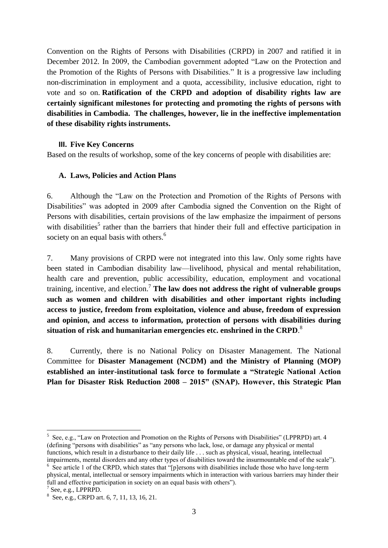Convention on the Rights of Persons with Disabilities (CRPD) in 2007 and ratified it in December 2012. In 2009, the Cambodian government adopted "Law on the Protection and the Promotion of the Rights of Persons with Disabilities." It is a progressive law including non-discrimination in employment and a quota, accessibility, inclusive education, right to vote and so on. **Ratification of the CRPD and adoption of disability rights law are certainly significant milestones for protecting and promoting the rights of persons with disabilities in Cambodia. The challenges, however, lie in the ineffective implementation of these disability rights instruments.**

#### **III. Five Key Concerns**

Based on the results of workshop, some of the key concerns of people with disabilities are:

#### **A. Laws, Policies and Action Plans**

6. Although the "Law on the Protection and Promotion of the Rights of Persons with Disabilities" was adopted in 2009 after Cambodia signed the Convention on the Right of Persons with disabilities, certain provisions of the law emphasize the impairment of persons with disabilities<sup>5</sup> rather than the barriers that hinder their full and effective participation in society on an equal basis with others.<sup>6</sup>

7. Many provisions of CRPD were not integrated into this law. Only some rights have been stated in Cambodian disability law—livelihood, physical and mental rehabilitation, health care and prevention, public accessibility, education, employment and vocational training, incentive, and election.<sup>7</sup> **The law does not address the right of vulnerable groups such as women and children with disabilities and other important rights including access to justice, freedom from exploitation, violence and abuse, freedom of expression and opinion, and access to information, protection of persons with disabilities during situation of risk and humanitarian emergencies etc. enshrined in the CRPD**. 8

8. Currently, there is no National Policy on Disaster Management. The National Committee for **Disaster Management (NCDM) and the Ministry of Planning (MOP) established an inter-institutional task force to formulate a "Strategic National Action Plan for Disaster Risk Reduction 2008 – 2015" (SNAP). However, this Strategic Plan** 

<sup>1</sup> <sup>5</sup> See, e.g., "Law on Protection and Promotion on the Rights of Persons with Disabilities" (LPPRPD) art. 4 (defining "persons with disabilities" as "any persons who lack, lose, or damage any physical or mental functions, which result in a disturbance to their daily life . . . such as physical, visual, hearing, intellectual impairments, mental disorders and any other types of disabilities toward the insurmountable end of the scale").

<sup>&</sup>lt;sup>6</sup> See article 1 of the CRPD, which states that "[p]ersons with disabilities include those who have long-term physical, mental, intellectual or sensory impairments which in interaction with various barriers may hinder their full and effective participation in society on an equal basis with others").

<sup>7</sup> See, e.g., LPPRPD.

<sup>8</sup> See, e.g., CRPD art. 6, 7, 11, 13, 16, 21.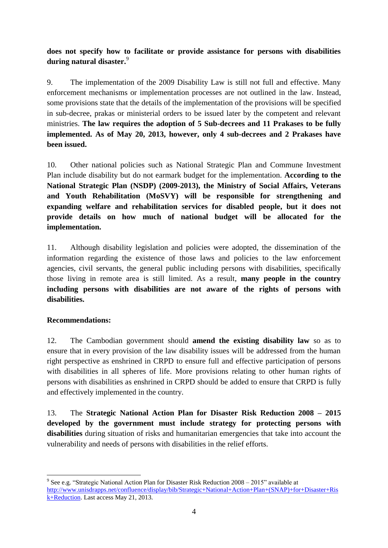# **does not specify how to facilitate or provide assistance for persons with disabilities during natural disaster.**<sup>9</sup>

9. The implementation of the 2009 Disability Law is still not full and effective. Many enforcement mechanisms or implementation processes are not outlined in the law. Instead, some provisions state that the details of the implementation of the provisions will be specified in sub-decree, prakas or ministerial orders to be issued later by the competent and relevant ministries. **The law requires the adoption of 5 Sub-decrees and 11 Prakases to be fully implemented. As of May 20, 2013, however, only 4 sub-decrees and 2 Prakases have been issued.**

10. Other national policies such as National Strategic Plan and Commune Investment Plan include disability but do not earmark budget for the implementation. **According to the National Strategic Plan (NSDP) (2009-2013), the Ministry of Social Affairs, Veterans and Youth Rehabilitation (MoSVY) will be responsible for strengthening and expanding welfare and rehabilitation services for disabled people, but it does not provide details on how much of national budget will be allocated for the implementation.** 

11. Although disability legislation and policies were adopted, the dissemination of the information regarding the existence of those laws and policies to the law enforcement agencies, civil servants, the general public including persons with disabilities, specifically those living in remote area is still limited. As a result, **many people in the country including persons with disabilities are not aware of the rights of persons with disabilities.** 

#### **Recommendations:**

1

12. The Cambodian government should **amend the existing disability law** so as to ensure that in every provision of the law disability issues will be addressed from the human right perspective as enshrined in CRPD to ensure full and effective participation of persons with disabilities in all spheres of life. More provisions relating to other human rights of persons with disabilities as enshrined in CRPD should be added to ensure that CRPD is fully and effectively implemented in the country.

13. The **Strategic National Action Plan for Disaster Risk Reduction 2008 – 2015 developed by the government must include strategy for protecting persons with disabilities** during situation of risks and humanitarian emergencies that take into account the vulnerability and needs of persons with disabilities in the relief efforts.

<sup>&</sup>lt;sup>9</sup> See e.g. "Strategic National Action Plan for Disaster Risk Reduction 2008 – 2015" available at [http://www.unisdrapps.net/confluence/display/bib/Strategic+National+Action+Plan+\(SNAP\)+for+Disaster+Ris](http://www.unisdrapps.net/confluence/display/bib/Strategic+National+Action+Plan+(SNAP)+for+Disaster+Risk+Reduction) [k+Reduction.](http://www.unisdrapps.net/confluence/display/bib/Strategic+National+Action+Plan+(SNAP)+for+Disaster+Risk+Reduction) Last access May 21, 2013.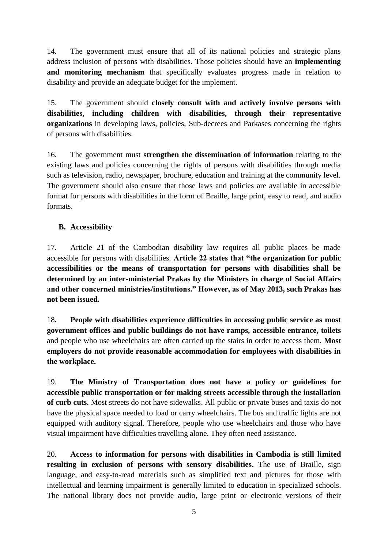14. The government must ensure that all of its national policies and strategic plans address inclusion of persons with disabilities. Those policies should have an **implementing and monitoring mechanism** that specifically evaluates progress made in relation to disability and provide an adequate budget for the implement.

15. The government should **closely consult with and actively involve persons with disabilities, including children with disabilities, through their representative organizations** in developing laws, policies, Sub-decrees and Parkases concerning the rights of persons with disabilities.

16. The government must **strengthen the dissemination of information** relating to the existing laws and policies concerning the rights of persons with disabilities through media such as television, radio, newspaper, brochure, education and training at the community level. The government should also ensure that those laws and policies are available in accessible format for persons with disabilities in the form of Braille, large print, easy to read, and audio formats.

# **B. Accessibility**

17. Article 21 of the Cambodian disability law requires all public places be made accessible for persons with disabilities. **Article 22 states that "the organization for public accessibilities or the means of transportation for persons with disabilities shall be determined by an inter-ministerial Prakas by the Ministers in charge of Social Affairs and other concerned ministries/institutions." However, as of May 2013, such Prakas has not been issued.**

18**. People with disabilities experience difficulties in accessing public service as most government offices and public buildings do not have ramps, accessible entrance, toilets**  and people who use wheelchairs are often carried up the stairs in order to access them. **Most employers do not provide reasonable accommodation for employees with disabilities in the workplace.**

19. **The Ministry of Transportation does not have a policy or guidelines for accessible public transportation or for making streets accessible through the installation of curb cuts.** Most streets do not have sidewalks. All public or private buses and taxis do not have the physical space needed to load or carry wheelchairs. The bus and traffic lights are not equipped with auditory signal. Therefore, people who use wheelchairs and those who have visual impairment have difficulties travelling alone. They often need assistance.

20. **Access to information for persons with disabilities in Cambodia is still limited resulting in exclusion of persons with sensory disabilities.** The use of Braille, sign language, and easy-to-read materials such as simplified text and pictures for those with intellectual and learning impairment is generally limited to education in specialized schools. The national library does not provide audio, large print or electronic versions of their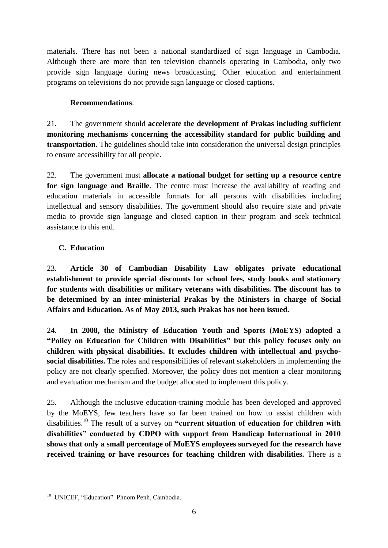materials. There has not been a national standardized of sign language in Cambodia. Although there are more than ten television channels operating in Cambodia, only two provide sign language during news broadcasting. Other education and entertainment programs on televisions do not provide sign language or closed captions.

# **Recommendations**:

21. The government should **accelerate the development of Prakas including sufficient monitoring mechanisms concerning the accessibility standard for public building and transportation**. The guidelines should take into consideration the universal design principles to ensure accessibility for all people.

22. The government must **allocate a national budget for setting up a resource centre for sign language and Braille**. The centre must increase the availability of reading and education materials in accessible formats for all persons with disabilities including intellectual and sensory disabilities. The government should also require state and private media to provide sign language and closed caption in their program and seek technical assistance to this end.

# **C. Education**

23. **Article 30 of Cambodian Disability Law obligates private educational establishment to provide special discounts for school fees, study books and stationary for students with disabilities or military veterans with disabilities. The discount has to be determined by an inter-ministerial Prakas by the Ministers in charge of Social Affairs and Education. As of May 2013, such Prakas has not been issued.**

24. **In 2008, the Ministry of Education Youth and Sports (MoEYS) adopted a "Policy on Education for Children with Disabilities" but this policy focuses only on children with physical disabilities. It excludes children with intellectual and psychosocial disabilities.** The roles and responsibilities of relevant stakeholders in implementing the policy are not clearly specified. Moreover, the policy does not mention a clear monitoring and evaluation mechanism and the budget allocated to implement this policy.

25. Although the inclusive education-training module has been developed and approved by the MoEYS, few teachers have so far been trained on how to assist children with disabilities. <sup>10</sup> The result of a survey on **"current situation of education for children with disabilities" conducted by CDPO with support from Handicap International in 2010 shows that only a small percentage of MoEYS employees surveyed for the research have received training or have resources for teaching children with disabilities.** There is a

 10 UNICEF, "Education". Phnom Penh, Cambodia.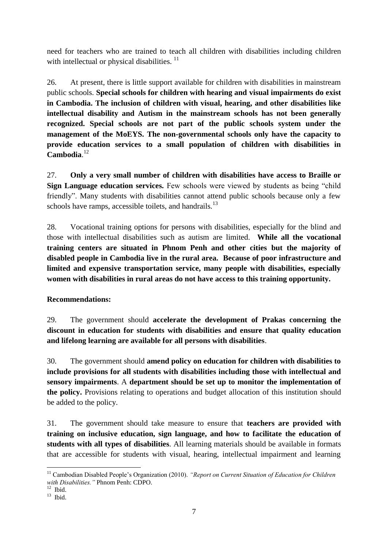need for teachers who are trained to teach all children with disabilities including children with intellectual or physical disabilities.<sup>11</sup>

26. At present, there is little support available for children with disabilities in mainstream public schools. **Special schools for children with hearing and visual impairments do exist in Cambodia. The inclusion of children with visual, hearing, and other disabilities like intellectual disability and Autism in the mainstream schools has not been generally recognized. Special schools are not part of the public schools system under the management of the MoEYS. The non-governmental schools only have the capacity to provide education services to a small population of children with disabilities in Cambodia**. 12

27. **Only a very small number of children with disabilities have access to Braille or Sign Language education services.** Few schools were viewed by students as being "child" friendly". Many students with disabilities cannot attend public schools because only a few schools have ramps, accessible toilets, and handrails. $^{13}$ 

28. Vocational training options for persons with disabilities, especially for the blind and those with intellectual disabilities such as autism are limited. **While all the vocational training centers are situated in Phnom Penh and other cities but the majority of disabled people in Cambodia live in the rural area. Because of poor infrastructure and limited and expensive transportation service, many people with disabilities, especially women with disabilities in rural areas do not have access to this training opportunity.**

# **Recommendations:**

29. The government should **accelerate the development of Prakas concerning the discount in education for students with disabilities and ensure that quality education and lifelong learning are available for all persons with disabilities**.

30. The government should **amend policy on education for children with disabilities to include provisions for all students with disabilities including those with intellectual and sensory impairments**. A **department should be set up to monitor the implementation of the policy.** Provisions relating to operations and budget allocation of this institution should be added to the policy.

31. The government should take measure to ensure that **teachers are provided with training on inclusive education, sign language, and how to facilitate the education of students with all types of disabilities**. All learning materials should be available in formats that are accessible for students with visual, hearing, intellectual impairment and learning

<u>.</u>

<sup>&</sup>lt;sup>11</sup> Cambodian Disabled People's Organization (2010). "Report on Current Situation of Education for Children *with Disabilities."* Phnom Penh: CDPO.

<sup>12</sup> Ibid.

<sup>13</sup> Ibid.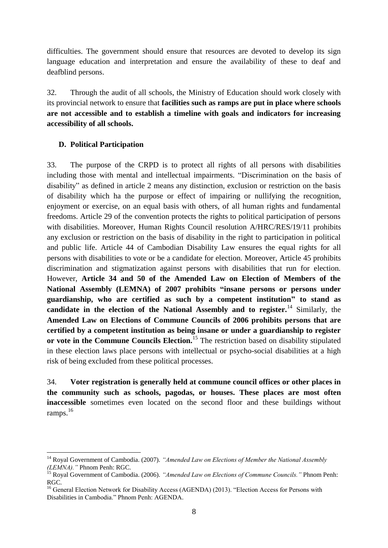difficulties. The government should ensure that resources are devoted to develop its sign language education and interpretation and ensure the availability of these to deaf and deafblind persons.

32. Through the audit of all schools, the Ministry of Education should work closely with its provincial network to ensure that **facilities such as ramps are put in place where schools are not accessible and to establish a timeline with goals and indicators for increasing accessibility of all schools.**

#### **D. Political Participation**

1

33. The purpose of the CRPD is to protect all rights of all persons with disabilities including those with mental and intellectual impairments. "Discrimination on the basis of disability" as defined in article 2 means any distinction, exclusion or restriction on the basis of disability which ha the purpose or effect of impairing or nullifying the recognition, enjoyment or exercise, on an equal basis with others, of all human rights and fundamental freedoms. Article 29 of the convention protects the rights to political participation of persons with disabilities. Moreover, Human Rights Council resolution A/HRC/RES/19/11 prohibits any exclusion or restriction on the basis of disability in the right to participation in political and public life. Article 44 of Cambodian Disability Law ensures the equal rights for all persons with disabilities to vote or be a candidate for election. Moreover, Article 45 prohibits discrimination and stigmatization against persons with disabilities that run for election. However, **Article 34 and 50 of the Amended Law on Election of Members of the National Assembly (LEMNA) of 2007 prohibits "insane persons or persons under guardianship, who are certified as such by a competent institution" to stand as candidate in the election of the National Assembly and to register.**<sup>14</sup> Similarly, the **Amended Law on Elections of Commune Councils of 2006 prohibits persons that are certified by a competent institution as being insane or under a guardianship to register or vote in the Commune Councils Election.**<sup>15</sup> The restriction based on disability stipulated in these election laws place persons with intellectual or psycho-social disabilities at a high risk of being excluded from these political processes.

34. **Voter registration is generally held at commune council offices or other places in the community such as schools, pagodas, or houses. These places are most often inaccessible** sometimes even located on the second floor and these buildings without ramps.<sup>16</sup>

<sup>&</sup>lt;sup>14</sup> Royal Government of Cambodia. (2007). "Amended Law on Elections of Member the National Assembly *(LEMNA)."* Phnom Penh: RGC.

<sup>15</sup> Royal Government of Cambodia. (2006). *"Amended Law on Elections of Commune Councils."* Phnom Penh: RGC.

<sup>&</sup>lt;sup>16</sup> General Election Network for Disability Access (AGENDA) (2013). "Election Access for Persons with Disabilities in Cambodia." Phnom Penh: AGENDA.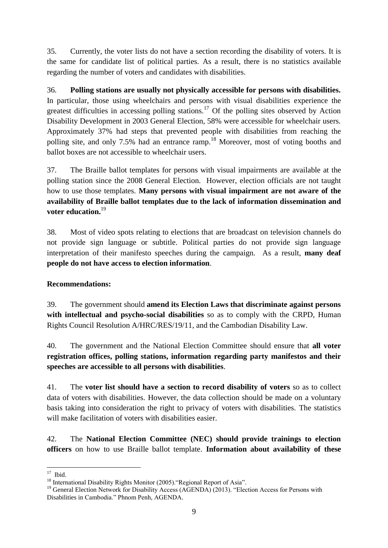35. Currently, the voter lists do not have a section recording the disability of voters. It is the same for candidate list of political parties. As a result, there is no statistics available regarding the number of voters and candidates with disabilities.

36. **Polling stations are usually not physically accessible for persons with disabilities.**  In particular, those using wheelchairs and persons with visual disabilities experience the greatest difficulties in accessing polling stations.<sup>17</sup> Of the polling sites observed by Action Disability Development in 2003 General Election, 58% were accessible for wheelchair users. Approximately 37% had steps that prevented people with disabilities from reaching the polling site, and only 7.5% had an entrance ramp.<sup>18</sup> Moreover, most of voting booths and ballot boxes are not accessible to wheelchair users.

37. The Braille ballot templates for persons with visual impairments are available at the polling station since the 2008 General Election. However, election officials are not taught how to use those templates. **Many persons with visual impairment are not aware of the availability of Braille ballot templates due to the lack of information dissemination and voter education.**<sup>19</sup>

38. Most of video spots relating to elections that are broadcast on television channels do not provide sign language or subtitle. Political parties do not provide sign language interpretation of their manifesto speeches during the campaign. As a result, **many deaf people do not have access to election information**.

# **Recommendations:**

39. The government should **amend its Election Laws that discriminate against persons with intellectual and psycho-social disabilities** so as to comply with the CRPD, Human Rights Council Resolution A/HRC/RES/19/11, and the Cambodian Disability Law.

40. The government and the National Election Committee should ensure that **all voter registration offices, polling stations, information regarding party manifestos and their speeches are accessible to all persons with disabilities**.

41. The **voter list should have a section to record disability of voters** so as to collect data of voters with disabilities. However, the data collection should be made on a voluntary basis taking into consideration the right to privacy of voters with disabilities. The statistics will make facilitation of voters with disabilities easier.

42. The **National Election Committee (NEC) should provide trainings to election officers** on how to use Braille ballot template. **Information about availability of these** 

 $\frac{17}{17}$  Ibid.

<sup>&</sup>lt;sup>18</sup> International Disability Rights Monitor (2005). "Regional Report of Asia".

<sup>&</sup>lt;sup>19</sup> General Election Network for Disability Access (AGENDA) (2013). "Election Access for Persons with Disabilities in Cambodia." Phnom Penh, AGENDA.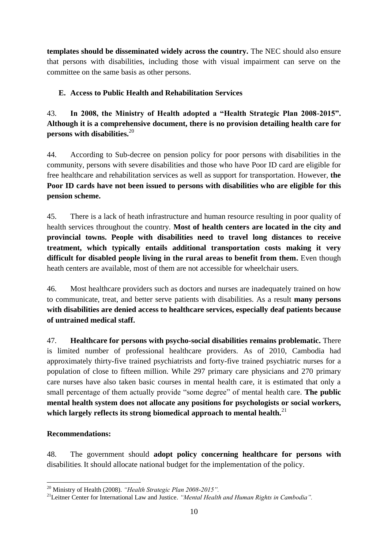**templates should be disseminated widely across the country.** The NEC should also ensure that persons with disabilities, including those with visual impairment can serve on the committee on the same basis as other persons.

# **E. Access to Public Health and Rehabilitation Services**

43. **In 2008, the Ministry of Health adopted a "Health Strategic Plan 2008-2015". Although it is a comprehensive document, there is no provision detailing health care for persons with disabilities.**<sup>20</sup>

44. According to Sub-decree on pension policy for poor persons with disabilities in the community, persons with severe disabilities and those who have Poor ID card are eligible for free healthcare and rehabilitation services as well as support for transportation. However, **the Poor ID cards have not been issued to persons with disabilities who are eligible for this pension scheme.**

45. There is a lack of heath infrastructure and human resource resulting in poor quality of health services throughout the country. **Most of health centers are located in the city and provincial towns. People with disabilities need to travel long distances to receive treatment, which typically entails additional transportation costs making it very difficult for disabled people living in the rural areas to benefit from them.** Even though heath centers are available, most of them are not accessible for wheelchair users.

46. Most healthcare providers such as doctors and nurses are inadequately trained on how to communicate, treat, and better serve patients with disabilities. As a result **many persons with disabilities are denied access to healthcare services, especially deaf patients because of untrained medical staff.**

47. **Healthcare for persons with psycho-social disabilities remains problematic.** There is limited number of professional healthcare providers. As of 2010, Cambodia had approximately thirty-five trained psychiatrists and forty-five trained psychiatric nurses for a population of close to fifteen million. While 297 primary care physicians and 270 primary care nurses have also taken basic courses in mental health care, it is estimated that only a small percentage of them actually provide "some degree" of mental health care. **The public mental health system does not allocate any positions for psychologists or social workers, which largely reflects its strong biomedical approach to mental health.**<sup>21</sup>

#### **Recommendations:**

48. The government should **adopt policy concerning healthcare for persons with** disabilities. It should allocate national budget for the implementation of the policy.

<sup>1</sup> <sup>20</sup> Ministry of Health (2008). *"Health Strategic Plan 2008-2015".*

<sup>21</sup>Leitner Center for International Law and Justice. *"Mental Health and Human Rights in Cambodia".*